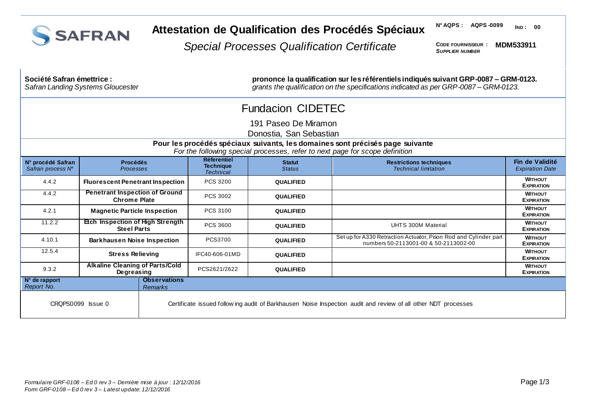

## **Attestation de Qualification des Procédés Spéciaux**

**N° AQPS : AQPS -0099 IND : 00**

*Special Processes Qualification Certificate*

**CODE FOURNISSEUR :** *SUPPLIER NUMBER* **MDM533911**

| Société Safran émettrice :<br><b>Safran Landing Systems Gloucester</b>                                                                                        |                                                               |                                       | prononce la qualification sur les référentiels indiqués suivant GRP-0087 - GRM-0123.<br>grants the qualification on the specifications indicated as per GRP-0087 - GRM-0123. |                                                                                                                |                                                                                                           |                                           |  |
|---------------------------------------------------------------------------------------------------------------------------------------------------------------|---------------------------------------------------------------|---------------------------------------|------------------------------------------------------------------------------------------------------------------------------------------------------------------------------|----------------------------------------------------------------------------------------------------------------|-----------------------------------------------------------------------------------------------------------|-------------------------------------------|--|
| <b>Fundacion CIDETEC</b>                                                                                                                                      |                                                               |                                       |                                                                                                                                                                              |                                                                                                                |                                                                                                           |                                           |  |
| 191 Paseo De Miramon                                                                                                                                          |                                                               |                                       |                                                                                                                                                                              |                                                                                                                |                                                                                                           |                                           |  |
|                                                                                                                                                               |                                                               |                                       |                                                                                                                                                                              | Donostia, San Sebastian                                                                                        |                                                                                                           |                                           |  |
| Pour les procédés spéciaux suivants, les domaines sont précisés page suivante<br>For the following special processes, refer to next page for scope definition |                                                               |                                       |                                                                                                                                                                              |                                                                                                                |                                                                                                           |                                           |  |
| N° procédé Safran<br>Safran process N°                                                                                                                        | <b>Procédés</b><br><b>Processes</b>                           |                                       | Réferentiel<br><b>Technique</b><br><b>Technical</b>                                                                                                                          | <b>Statut</b><br><b>Status</b>                                                                                 | <b>Restrictions techniques</b><br><b>Technical limitation</b>                                             | Fin de Validité<br><b>Expiration Date</b> |  |
| 4.4.2                                                                                                                                                         | <b>Fluorescent Penetrant Inspection</b>                       |                                       | PCS 3200                                                                                                                                                                     | <b>QUALIFIED</b>                                                                                               |                                                                                                           | <b>WITHOUT</b><br><b>EXPIRATION</b>       |  |
| 4.4.2                                                                                                                                                         | <b>Penetrant Inspection of Ground</b><br><b>Chrome Plate</b>  |                                       | PCS 3002                                                                                                                                                                     | <b>QUALIFIED</b>                                                                                               |                                                                                                           | <b>WITHOUT</b><br><b>EXPIRATION</b>       |  |
| 4.2.1                                                                                                                                                         | <b>Magnetic Particle Inspection</b>                           |                                       | PCS 3100                                                                                                                                                                     | <b>QUALIFIED</b>                                                                                               |                                                                                                           | <b>WITHOUT</b><br><b>EXPIRATION</b>       |  |
| 11.2.2                                                                                                                                                        | <b>Etch Inspection of High Strength</b><br><b>Steel Parts</b> |                                       | PCS 3600                                                                                                                                                                     | <b>QUALIFIED</b>                                                                                               | <b>UHTS 300M Material</b>                                                                                 | <b>WITHOUT</b><br><b>EXPIRATION</b>       |  |
| 4.10.1                                                                                                                                                        | <b>Barkhausen Noise Inspection</b>                            |                                       | PCS3700                                                                                                                                                                      | <b>QUALIFIED</b>                                                                                               | Set up for A330 Retraction Actuator, Pison Rod and Cylinder part<br>numbers 50-2113001-00 & 50-2113002-00 | <b>WITHOUT</b><br><b>EXPIRATION</b>       |  |
| 12.5.4                                                                                                                                                        | <b>Stress Relieving</b>                                       |                                       | IFC40-606-01MD                                                                                                                                                               | <b>QUALIFIED</b>                                                                                               |                                                                                                           | <b>WITHOUT</b><br><b>EXPIRATION</b>       |  |
| 9.3.2                                                                                                                                                         | <b>Alkaline Cleaning of Parts/Cold</b><br>Degreasing          |                                       | PCS2621/2622                                                                                                                                                                 | <b>QUALIFIED</b>                                                                                               |                                                                                                           | <b>WITHOUT</b><br><b>EXPIRATION</b>       |  |
| $N°$ de rapport<br>Report No.                                                                                                                                 |                                                               | <b>Observations</b><br><b>Remarks</b> |                                                                                                                                                                              |                                                                                                                |                                                                                                           |                                           |  |
| CRQPS0099 Issue 0                                                                                                                                             |                                                               |                                       |                                                                                                                                                                              | Certificate issued follow ing audit of Barkhausen Noise Inspection audit and review of all other NDT processes |                                                                                                           |                                           |  |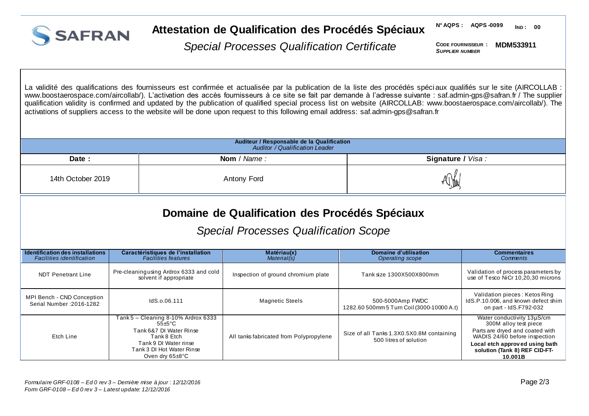

#### **Attestation de Qualification des Procédés Spéciaux**

**N° AQPS : AQPS -0099 IND : 00**

*Special Processes Qualification Certificate*

**CODE FOURNISSEUR : MDM533911** *SUPPLIER NUMBER*

La validité des qualifications des fournisseurs est confirmée et actualisée par la publication de la liste des procédés spéci aux qualifiés sur le site (AIRCOLLAB : [www.boostaerospace.com/aircollab](http://www.boostaerospace.com/aircollab/)/). L'activation des accès fournisseurs à ce site se fait par demande à l'adresse suivante : saf.admin-gps@safran.fr / The supplier qualification validity is confirmed and updated by the publication of qualified special process list on website (AIRCOLLAB: [www.boostaerospace.com/aircollab/](http://www.boostaerospace.com/aircollab/)). The activations of suppliers access to the website will be done upon request to this following email address: saf.admin-gps@safran.fr

| Auditeur / Responsable de la Qualification<br>Auditor / Qualification Leader |             |                   |  |  |
|------------------------------------------------------------------------------|-------------|-------------------|--|--|
| Date :                                                                       | Nom / Name: | Signature / Visa: |  |  |
| 14th October 2019                                                            | Antony Ford | ั∨'ใ¶⊺            |  |  |

# **Domaine de Qualification des Procédés Spéciaux**

### *Special Processes Qualification Scope*

| Identification des installations<br><b>Facilities identification</b> | Caractéristiques de l'installation<br><b>Facilities features</b>                                                                                                                             | Matériau(x)<br>Material(s)              | Domaine d'utilisation<br>Operating scope                            | <b>Commentaires</b><br>Comments                                                                                                                                                                       |
|----------------------------------------------------------------------|----------------------------------------------------------------------------------------------------------------------------------------------------------------------------------------------|-----------------------------------------|---------------------------------------------------------------------|-------------------------------------------------------------------------------------------------------------------------------------------------------------------------------------------------------|
| <b>NDT Penetrant Line</b>                                            | Pre-cleaning using Ardrox 6333 and cold<br>solvent if appropriate                                                                                                                            | Inspection of ground chromium plate     | Tank size 1300X500X800mm                                            | Validation of process parameters by<br>use of Tesco NiCr 10,20,30 microns                                                                                                                             |
| MPI Bench - CND Conception<br>Serial Number: 2016-1282               | IdS.o.06.111                                                                                                                                                                                 | <b>Magnetic Steels</b>                  | 500-5000Amp FWDC<br>1282.60 500mm 5 Turn Coil (3000-10000 A.t)      | Validation pieces: Ketos Ring<br>IdS.P.10.006, and known defect shim<br>on part - IdS.F792-032                                                                                                        |
| Etch Line                                                            | Tank 5 – Cleaning 8-10% Ardrox 6333<br>$55 \pm 5^{\circ}$ C<br>Tank 6&7 DI Water Rinse<br>Tank 8 Etch<br>Tank 9 DI Water rinse<br>Tank 3 DI Hot Water Rinse<br>Oven dry $65 \pm 8^{\circ}$ C | All tanks fabricated from Polypropylene | Size of all Tanks 1.3X0.5X0.8M containing<br>500 litres of solution | Water conductivity 13µS/cm<br>300M alloy test piece<br>Parts are dryed and coated with<br>WADIS 24/60 before inspection<br>Local etch approved using bath<br>solution (Tank 8) REF CID-FT-<br>10.001B |